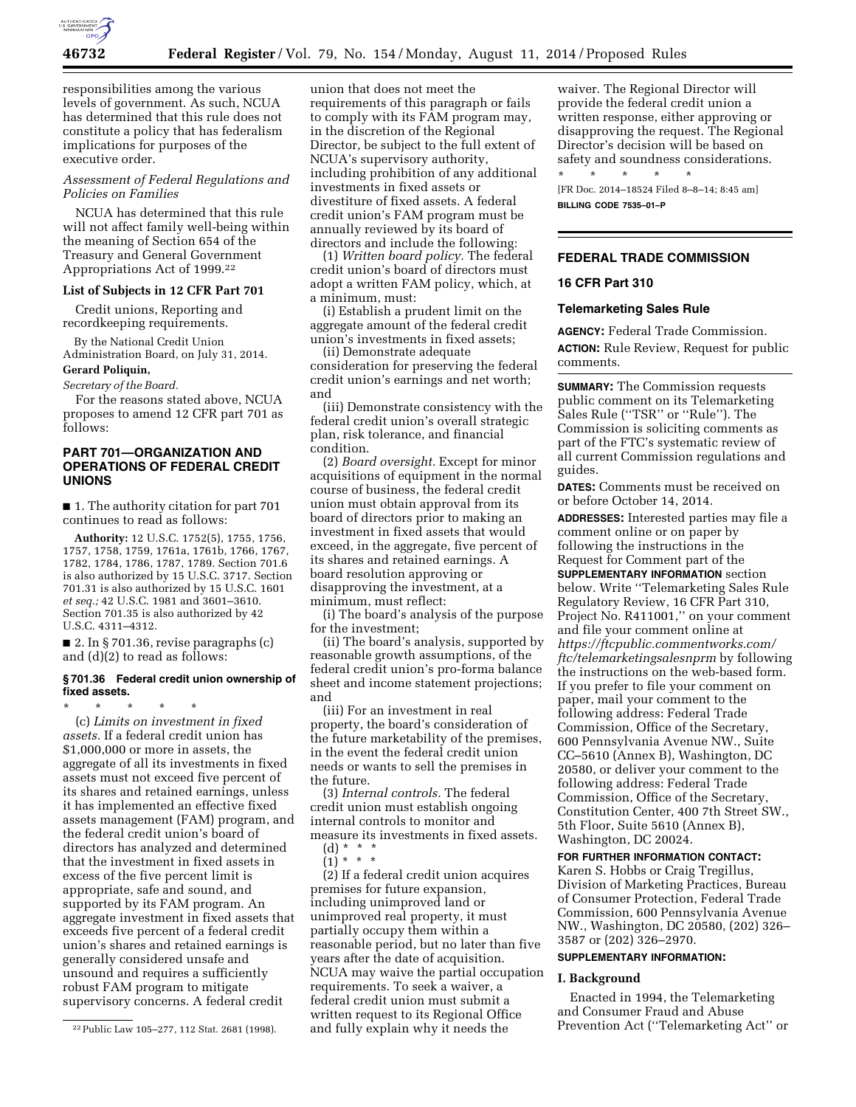

responsibilities among the various levels of government. As such, NCUA has determined that this rule does not constitute a policy that has federalism implications for purposes of the executive order.

# *Assessment of Federal Regulations and Policies on Families*

NCUA has determined that this rule will not affect family well-being within the meaning of Section 654 of the Treasury and General Government Appropriations Act of 1999.22

#### **List of Subjects in 12 CFR Part 701**

Credit unions, Reporting and recordkeeping requirements.

By the National Credit Union Administration Board, on July 31, 2014.

# **Gerard Poliquin,**

*Secretary of the Board.* 

For the reasons stated above, NCUA proposes to amend 12 CFR part 701 as follows:

# **PART 701—ORGANIZATION AND OPERATIONS OF FEDERAL CREDIT UNIONS**

■ 1. The authority citation for part 701 continues to read as follows:

**Authority:** 12 U.S.C. 1752(5), 1755, 1756, 1757, 1758, 1759, 1761a, 1761b, 1766, 1767, 1782, 1784, 1786, 1787, 1789. Section 701.6 is also authorized by 15 U.S.C. 3717. Section 701.31 is also authorized by 15 U.S.C. 1601 *et seq.;* 42 U.S.C. 1981 and 3601–3610. Section 701.35 is also authorized by 42 U.S.C. 4311–4312.

■ 2. In § 701.36, revise paragraphs (c) and (d)(2) to read as follows:

### **§ 701.36 Federal credit union ownership of fixed assets.**

\* \* \* \* \* (c) *Limits on investment in fixed assets.* If a federal credit union has \$1,000,000 or more in assets, the aggregate of all its investments in fixed assets must not exceed five percent of its shares and retained earnings, unless it has implemented an effective fixed assets management (FAM) program, and the federal credit union's board of directors has analyzed and determined that the investment in fixed assets in excess of the five percent limit is appropriate, safe and sound, and supported by its FAM program. An aggregate investment in fixed assets that exceeds five percent of a federal credit union's shares and retained earnings is generally considered unsafe and unsound and requires a sufficiently robust FAM program to mitigate supervisory concerns. A federal credit

union that does not meet the requirements of this paragraph or fails to comply with its FAM program may, in the discretion of the Regional Director, be subject to the full extent of NCUA's supervisory authority, including prohibition of any additional investments in fixed assets or divestiture of fixed assets. A federal credit union's FAM program must be annually reviewed by its board of directors and include the following:

(1) *Written board policy.* The federal credit union's board of directors must adopt a written FAM policy, which, at a minimum, must:

(i) Establish a prudent limit on the aggregate amount of the federal credit union's investments in fixed assets;

(ii) Demonstrate adequate consideration for preserving the federal credit union's earnings and net worth; and

(iii) Demonstrate consistency with the federal credit union's overall strategic plan, risk tolerance, and financial condition.

(2) *Board oversight.* Except for minor acquisitions of equipment in the normal course of business, the federal credit union must obtain approval from its board of directors prior to making an investment in fixed assets that would exceed, in the aggregate, five percent of its shares and retained earnings. A board resolution approving or disapproving the investment, at a minimum, must reflect:

(i) The board's analysis of the purpose for the investment;

(ii) The board's analysis, supported by reasonable growth assumptions, of the federal credit union's pro-forma balance sheet and income statement projections; and

(iii) For an investment in real property, the board's consideration of the future marketability of the premises, in the event the federal credit union needs or wants to sell the premises in the future.

(3) *Internal controls.* The federal credit union must establish ongoing internal controls to monitor and measure its investments in fixed assets.

 $(d) * * *$  $(1)^{\ast}$  \* \*

(2) If a federal credit union acquires premises for future expansion, including unimproved land or unimproved real property, it must partially occupy them within a reasonable period, but no later than five years after the date of acquisition. NCUA may waive the partial occupation requirements. To seek a waiver, a federal credit union must submit a written request to its Regional Office and fully explain why it needs the

waiver. The Regional Director will provide the federal credit union a written response, either approving or disapproving the request. The Regional Director's decision will be based on safety and soundness considerations. \* \* \* \* \*

[FR Doc. 2014–18524 Filed 8–8–14; 8:45 am] **BILLING CODE 7535–01–P** 

# **FEDERAL TRADE COMMISSION**

# **16 CFR Part 310**

#### **Telemarketing Sales Rule**

**AGENCY:** Federal Trade Commission. **ACTION:** Rule Review, Request for public comments.

**SUMMARY:** The Commission requests public comment on its Telemarketing Sales Rule (''TSR'' or ''Rule''). The Commission is soliciting comments as part of the FTC's systematic review of all current Commission regulations and guides.

**DATES:** Comments must be received on or before October 14, 2014.

**ADDRESSES:** Interested parties may file a comment online or on paper by following the instructions in the Request for Comment part of the **SUPPLEMENTARY INFORMATION** section below. Write ''Telemarketing Sales Rule Regulatory Review, 16 CFR Part 310, Project No. R411001,'' on your comment and file your comment online at *[https://ftcpublic.commentworks.com/](https://ftcpublic.commentworks.com/ftc/telemarketingsalesnprm) [ftc/telemarketingsalesnprm](https://ftcpublic.commentworks.com/ftc/telemarketingsalesnprm)* by following the instructions on the web-based form. If you prefer to file your comment on paper, mail your comment to the following address: Federal Trade Commission, Office of the Secretary, 600 Pennsylvania Avenue NW., Suite CC–5610 (Annex B), Washington, DC 20580, or deliver your comment to the following address: Federal Trade Commission, Office of the Secretary, Constitution Center, 400 7th Street SW., 5th Floor, Suite 5610 (Annex B), Washington, DC 20024.

# **FOR FURTHER INFORMATION CONTACT:**

Karen S. Hobbs or Craig Tregillus, Division of Marketing Practices, Bureau of Consumer Protection, Federal Trade Commission, 600 Pennsylvania Avenue NW., Washington, DC 20580, (202) 326– 3587 or (202) 326–2970.

## **SUPPLEMENTARY INFORMATION:**

#### **I. Background**

Enacted in 1994, the Telemarketing and Consumer Fraud and Abuse Prevention Act (''Telemarketing Act'' or

<sup>22</sup>Public Law 105–277, 112 Stat. 2681 (1998).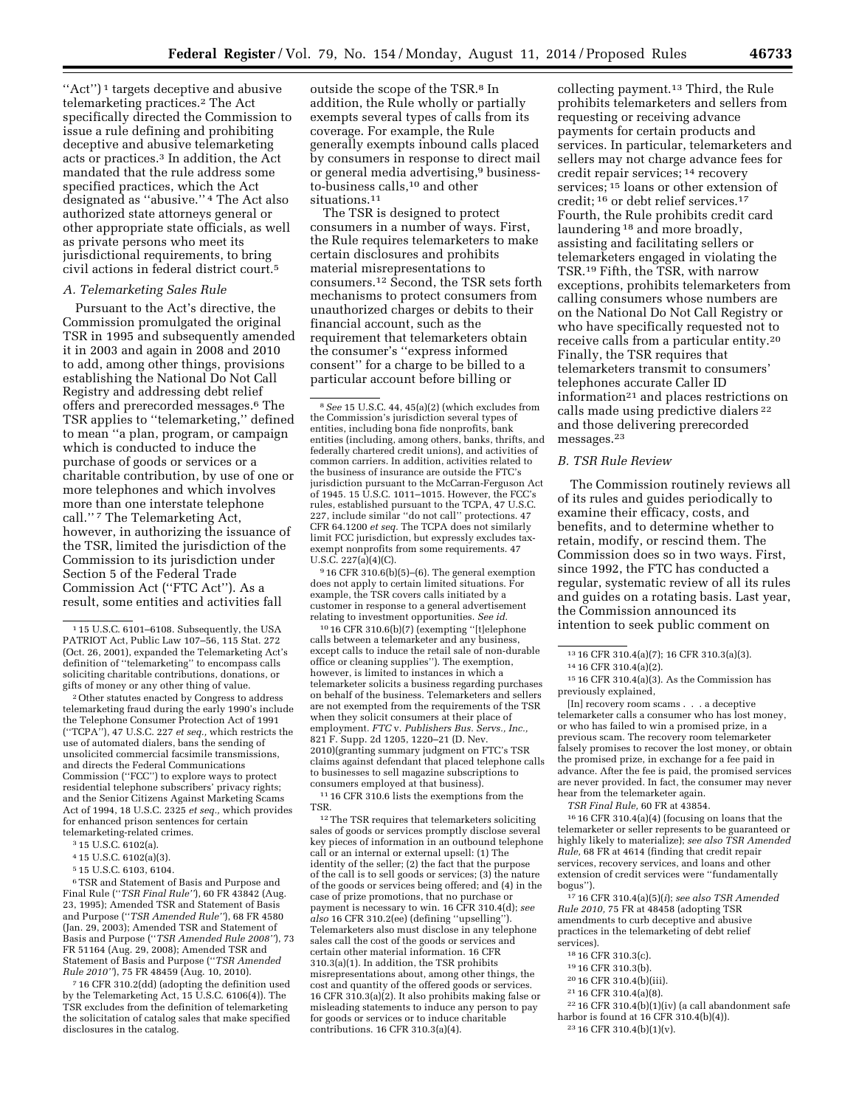"Act")<sup>1</sup> targets deceptive and abusive telemarketing practices.2 The Act specifically directed the Commission to issue a rule defining and prohibiting deceptive and abusive telemarketing acts or practices.3 In addition, the Act mandated that the rule address some specified practices, which the Act designated as ''abusive.'' 4 The Act also authorized state attorneys general or other appropriate state officials, as well as private persons who meet its jurisdictional requirements, to bring civil actions in federal district court.5

### *A. Telemarketing Sales Rule*

Pursuant to the Act's directive, the Commission promulgated the original TSR in 1995 and subsequently amended it in 2003 and again in 2008 and 2010 to add, among other things, provisions establishing the National Do Not Call Registry and addressing debt relief offers and prerecorded messages.6 The TSR applies to ''telemarketing,'' defined to mean ''a plan, program, or campaign which is conducted to induce the purchase of goods or services or a charitable contribution, by use of one or more telephones and which involves more than one interstate telephone call.'' 7 The Telemarketing Act, however, in authorizing the issuance of the TSR, limited the jurisdiction of the Commission to its jurisdiction under Section 5 of the Federal Trade Commission Act (''FTC Act''). As a result, some entities and activities fall

2Other statutes enacted by Congress to address telemarketing fraud during the early 1990's include the Telephone Consumer Protection Act of 1991 (''TCPA''), 47 U.S.C. 227 *et seq.,* which restricts the use of automated dialers, bans the sending of unsolicited commercial facsimile transmissions, and directs the Federal Communications Commission (''FCC'') to explore ways to protect residential telephone subscribers' privacy rights; and the Senior Citizens Against Marketing Scams Act of 1994, 18 U.S.C. 2325 *et seq.,* which provides for enhanced prison sentences for certain telemarketing-related crimes.

- 4 15 U.S.C. 6102(a)(3).
- 5 15 U.S.C. 6103, 6104.

6TSR and Statement of Basis and Purpose and Final Rule (''*TSR Final Rule''*), 60 FR 43842 (Aug. 23, 1995); Amended TSR and Statement of Basis and Purpose (''*TSR Amended Rule''*), 68 FR 4580 (Jan. 29, 2003); Amended TSR and Statement of Basis and Purpose (''*TSR Amended Rule 2008''*), 73 FR 51164 (Aug. 29, 2008); Amended TSR and Statement of Basis and Purpose (''*TSR Amended Rule 2010''*), 75 FR 48459 (Aug. 10, 2010).

7 16 CFR 310.2(dd) (adopting the definition used by the Telemarketing Act, 15 U.S.C. 6106(4)). The TSR excludes from the definition of telemarketing the solicitation of catalog sales that make specified disclosures in the catalog.

outside the scope of the TSR.<sup>8</sup> In addition, the Rule wholly or partially exempts several types of calls from its coverage. For example, the Rule generally exempts inbound calls placed by consumers in response to direct mail or general media advertising,<sup>9</sup> businessto-business calls,10 and other situations.<sup>11</sup>

The TSR is designed to protect consumers in a number of ways. First, the Rule requires telemarketers to make certain disclosures and prohibits material misrepresentations to consumers.12 Second, the TSR sets forth mechanisms to protect consumers from unauthorized charges or debits to their financial account, such as the requirement that telemarketers obtain the consumer's ''express informed consent'' for a charge to be billed to a particular account before billing or

 $916$  CFR 310.6(b)(5)–(6). The general exemption does not apply to certain limited situations. For example, the TSR covers calls initiated by a customer in response to a general advertisement relating to investment opportunities. *See id.* 

10 16 CFR 310.6(b)(7) (exempting ''[t]elephone calls between a telemarketer and any business, except calls to induce the retail sale of non-durable office or cleaning supplies''). The exemption, however, is limited to instances in which a telemarketer solicits a business regarding purchases on behalf of the business. Telemarketers and sellers are not exempted from the requirements of the TSR when they solicit consumers at their place of employment. *FTC* v. *Publishers Bus. Servs., Inc.,*  821 F. Supp. 2d 1205, 1220–21 (D. Nev. 2010)(granting summary judgment on FTC's TSR claims against defendant that placed telephone calls to businesses to sell magazine subscriptions to consumers employed at that business).

11 16 CFR 310.6 lists the exemptions from the TSR.

<sup>12</sup>The TSR requires that telemarketers soliciting sales of goods or services promptly disclose several key pieces of information in an outbound telephone call or an internal or external upsell: (1) The identity of the seller; (2) the fact that the purpose of the call is to sell goods or services; (3) the nature of the goods or services being offered; and (4) in the case of prize promotions, that no purchase or payment is necessary to win. 16 CFR 310.4(d); *see also* 16 CFR 310.2(ee) (defining ''upselling''). Telemarketers also must disclose in any telephone sales call the cost of the goods or services and certain other material information. 16 CFR 310.3(a)(1). In addition, the TSR prohibits misrepresentations about, among other things, the cost and quantity of the offered goods or services. 16 CFR 310.3(a) $(2)$ . It also prohibits making false or misleading statements to induce any person to pay for goods or services or to induce charitable contributions. 16 CFR 310.3(a)(4).

collecting payment.13 Third, the Rule prohibits telemarketers and sellers from requesting or receiving advance payments for certain products and services. In particular, telemarketers and sellers may not charge advance fees for credit repair services; 14 recovery services; 15 loans or other extension of credit; 16 or debt relief services.17 Fourth, the Rule prohibits credit card laundering 18 and more broadly, assisting and facilitating sellers or telemarketers engaged in violating the TSR.19 Fifth, the TSR, with narrow exceptions, prohibits telemarketers from calling consumers whose numbers are on the National Do Not Call Registry or who have specifically requested not to receive calls from a particular entity.20 Finally, the TSR requires that telemarketers transmit to consumers' telephones accurate Caller ID information21 and places restrictions on calls made using predictive dialers 22 and those delivering prerecorded messages.23

# *B. TSR Rule Review*

The Commission routinely reviews all of its rules and guides periodically to examine their efficacy, costs, and benefits, and to determine whether to retain, modify, or rescind them. The Commission does so in two ways. First, since 1992, the FTC has conducted a regular, systematic review of all its rules and guides on a rotating basis. Last year, the Commission announced its intention to seek public comment on

[In] recovery room scams . . . a deceptive telemarketer calls a consumer who has lost money, or who has failed to win a promised prize, in a previous scam. The recovery room telemarketer falsely promises to recover the lost money, or obtain the promised prize, in exchange for a fee paid in advance. After the fee is paid, the promised services are never provided. In fact, the consumer may never hear from the telemarketer again.

*TSR Final Rule,* 60 FR at 43854.

16 16 CFR 310.4(a)(4) (focusing on loans that the telemarketer or seller represents to be guaranteed or highly likely to materialize); *see also TSR Amended Rule,* 68 FR at 4614 (finding that credit repair services, recovery services, and loans and other extension of credit services were ''fundamentally bogus'').

17 16 CFR 310.4(a)(5)(*i*); *see also TSR Amended Rule 2010,* 75 FR at 48458 (adopting TSR amendments to curb deceptive and abusive practices in the telemarketing of debt relief services).

- 18 16 CFR 310.3(c).
- 19 16 CFR 310.3(b).
- 20 16 CFR 310.4(b)(iii).
- 21 16 CFR 310.4(a)(8).
- $^{22}$  16 CFR 310.4(b)(1)(iv) (a call abandonment safe harbor is found at 16 CFR 310.4(b)(4)).
	- 23 16 CFR 310.4(b)(1)(v).

<sup>1</sup> 15 U.S.C. 6101–6108. Subsequently, the USA PATRIOT Act, Public Law 107–56, 115 Stat. 272 (Oct. 26, 2001), expanded the Telemarketing Act's definition of ''telemarketing'' to encompass calls soliciting charitable contributions, donations, or gifts of money or any other thing of value.

<sup>3</sup> 15 U.S.C. 6102(a).

<sup>8</sup>*See* 15 U.S.C. 44, 45(a)(2) (which excludes from the Commission's jurisdiction several types of entities, including bona fide nonprofits, bank entities (including, among others, banks, thrifts, and federally chartered credit unions), and activities of common carriers. In addition, activities related to the business of insurance are outside the FTC's jurisdiction pursuant to the McCarran-Ferguson Act of 1945. 15 U.S.C. 1011–1015. However, the FCC's rules, established pursuant to the TCPA, 47 U.S.C. 227, include similar ''do not call'' protections. 47 CFR 64.1200 *et seq.* The TCPA does not similarly limit FCC jurisdiction, but expressly excludes taxexempt nonprofits from some requirements. 47 U.S.C.  $227(a)(4)(C)$ .

<sup>13</sup> 16 CFR 310.4(a)(7); 16 CFR 310.3(a)(3). 14 16 CFR 310.4(a)(2).

 $^{\rm 15}$  16 CFR 310.4(a)(3). As the Commission has previously explained,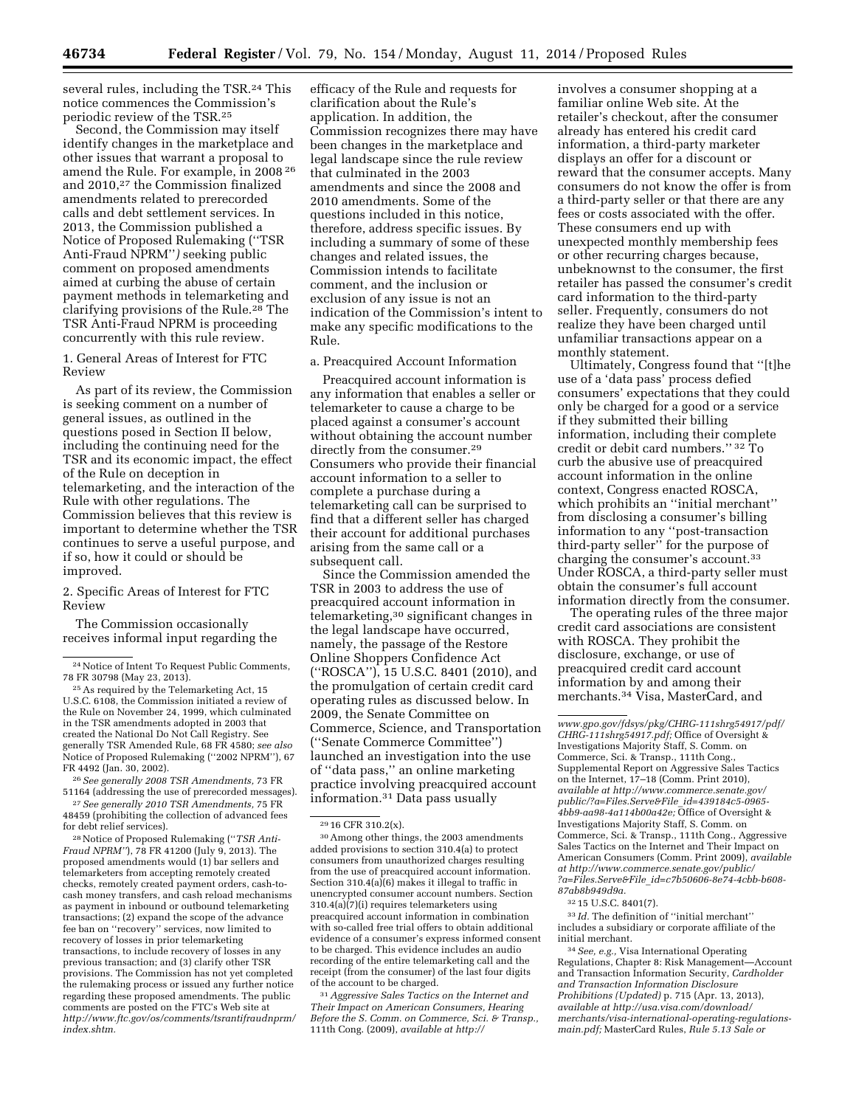several rules, including the TSR.24 This notice commences the Commission's periodic review of the TSR.25

Second, the Commission may itself identify changes in the marketplace and other issues that warrant a proposal to amend the Rule. For example, in 2008 26 and 2010,27 the Commission finalized amendments related to prerecorded calls and debt settlement services. In 2013, the Commission published a Notice of Proposed Rulemaking (''TSR Anti-Fraud NPRM''*)* seeking public comment on proposed amendments aimed at curbing the abuse of certain payment methods in telemarketing and clarifying provisions of the Rule.28 The TSR Anti-Fraud NPRM is proceeding concurrently with this rule review.

1. General Areas of Interest for FTC Review

As part of its review, the Commission is seeking comment on a number of general issues, as outlined in the questions posed in Section II below, including the continuing need for the TSR and its economic impact, the effect of the Rule on deception in telemarketing, and the interaction of the Rule with other regulations. The Commission believes that this review is important to determine whether the TSR continues to serve a useful purpose, and if so, how it could or should be improved.

2. Specific Areas of Interest for FTC Review

The Commission occasionally receives informal input regarding the

26*See generally 2008 TSR Amendments,* 73 FR 51164 (addressing the use of prerecorded messages). 27*See generally 2010 TSR Amendments,* 75 FR

48459 (prohibiting the collection of advanced fees for debt relief services).

28Notice of Proposed Rulemaking (''*TSR Anti-Fraud NPRM''*), 78 FR 41200 (July 9, 2013). The proposed amendments would (1) bar sellers and telemarketers from accepting remotely created checks, remotely created payment orders, cash-tocash money transfers, and cash reload mechanisms as payment in inbound or outbound telemarketing transactions; (2) expand the scope of the advance fee ban on ''recovery'' services, now limited to recovery of losses in prior telemarketing transactions, to include recovery of losses in any previous transaction; and (3) clarify other TSR provisions. The Commission has not yet completed the rulemaking process or issued any further notice regarding these proposed amendments. The public comments are posted on the FTC's Web site at *[http://www.ftc.gov/os/comments/tsrantifraudnprm/](http://www.ftc.gov/os/comments/tsrantifraudnprm/index.shtm) [index.shtm.](http://www.ftc.gov/os/comments/tsrantifraudnprm/index.shtm)* 

efficacy of the Rule and requests for clarification about the Rule's application. In addition, the Commission recognizes there may have been changes in the marketplace and legal landscape since the rule review that culminated in the 2003 amendments and since the 2008 and 2010 amendments. Some of the questions included in this notice, therefore, address specific issues. By including a summary of some of these changes and related issues, the Commission intends to facilitate comment, and the inclusion or exclusion of any issue is not an indication of the Commission's intent to make any specific modifications to the Rule.

a. Preacquired Account Information

Preacquired account information is any information that enables a seller or telemarketer to cause a charge to be placed against a consumer's account without obtaining the account number directly from the consumer.<sup>29</sup> Consumers who provide their financial account information to a seller to complete a purchase during a telemarketing call can be surprised to find that a different seller has charged their account for additional purchases arising from the same call or a subsequent call.

Since the Commission amended the TSR in 2003 to address the use of preacquired account information in telemarketing,30 significant changes in the legal landscape have occurred, namely, the passage of the Restore Online Shoppers Confidence Act (''ROSCA''), 15 U.S.C. 8401 (2010), and the promulgation of certain credit card operating rules as discussed below. In 2009, the Senate Committee on Commerce, Science, and Transportation (''Senate Commerce Committee'') launched an investigation into the use of ''data pass,'' an online marketing practice involving preacquired account information.31 Data pass usually

30Among other things, the 2003 amendments added provisions to section 310.4(a) to protect consumers from unauthorized charges resulting from the use of preacquired account information. Section 310.4(a) $(6)$  makes it illegal to traffic in unencrypted consumer account numbers. Section 310.4(a)(7)(i) requires telemarketers using preacquired account information in combination with so-called free trial offers to obtain additional evidence of a consumer's express informed consent to be charged. This evidence includes an audio recording of the entire telemarketing call and the receipt (from the consumer) of the last four digits of the account to be charged.

31*Aggressive Sales Tactics on the Internet and Their Impact on American Consumers, Hearing Before the S. Comm. on Commerce, Sci. & Transp.,*  111th Cong. (2009), *available at [http://](http://www.gpo.gov/fdsys/pkg/CHRG-111shrg54917/pdf/CHRG-111shrg54917.pdf)*

involves a consumer shopping at a familiar online Web site. At the retailer's checkout, after the consumer already has entered his credit card information, a third-party marketer displays an offer for a discount or reward that the consumer accepts. Many consumers do not know the offer is from a third-party seller or that there are any fees or costs associated with the offer. These consumers end up with unexpected monthly membership fees or other recurring charges because, unbeknownst to the consumer, the first retailer has passed the consumer's credit card information to the third-party seller. Frequently, consumers do not realize they have been charged until unfamiliar transactions appear on a monthly statement.

Ultimately, Congress found that ''[t]he use of a 'data pass' process defied consumers' expectations that they could only be charged for a good or a service if they submitted their billing information, including their complete credit or debit card numbers.'' 32 To curb the abusive use of preacquired account information in the online context, Congress enacted ROSCA, which prohibits an ''initial merchant'' from disclosing a consumer's billing information to any ''post-transaction third-party seller'' for the purpose of charging the consumer's account.33 Under ROSCA, a third-party seller must obtain the consumer's full account information directly from the consumer.

The operating rules of the three major credit card associations are consistent with ROSCA. They prohibit the disclosure, exchange, or use of preacquired credit card account information by and among their merchants.34 Visa, MasterCard, and

32 15 U.S.C. 8401(7).

33 *Id.* The definition of ''initial merchant'' includes a subsidiary or corporate affiliate of the initial merchant.

<sup>24</sup>Notice of Intent To Request Public Comments, 78 FR 30798 (May 23, 2013).

<sup>25</sup>As required by the Telemarketing Act, 15 U.S.C. 6108, the Commission initiated a review of the Rule on November 24, 1999, which culminated in the TSR amendments adopted in 2003 that created the National Do Not Call Registry. See generally TSR Amended Rule, 68 FR 4580; *see also*  Notice of Proposed Rulemaking (''2002 NPRM''), 67 FR 4492 (Jan. 30, 2002).

<sup>29</sup> 16 CFR 310.2(x).

*[www.gpo.gov/fdsys/pkg/CHRG-111shrg54917/pdf/](http://www.gpo.gov/fdsys/pkg/CHRG-111shrg54917/pdf/CHRG-111shrg54917.pdf) [CHRG-111shrg54917.pdf;](http://www.gpo.gov/fdsys/pkg/CHRG-111shrg54917/pdf/CHRG-111shrg54917.pdf)* Office of Oversight & Investigations Majority Staff, S. Comm. on Commerce, Sci. & Transp., 111th Cong., Supplemental Report on Aggressive Sales Tactics on the Internet, 17–18 (Comm. Print 2010), *available at [http://www.commerce.senate.gov/](http://www.commerce.senate.gov/public/?a=Files.Serve&File_id=439184c5-0965-4bb9-aa98-4a114b00a42e) [public/?a=Files.Serve&File](http://www.commerce.senate.gov/public/?a=Files.Serve&File_id=439184c5-0965-4bb9-aa98-4a114b00a42e)*\_*id=439184c5-0965- [4bb9-aa98-4a114b00a42e;](http://www.commerce.senate.gov/public/?a=Files.Serve&File_id=439184c5-0965-4bb9-aa98-4a114b00a42e)* Office of Oversight & Investigations Majority Staff, S. Comm. on Commerce, Sci. & Transp., 111th Cong., Aggressive Sales Tactics on the Internet and Their Impact on American Consumers (Comm. Print 2009), *available at [http://www.commerce.senate.gov/public/](http://www.commerce.senate.gov/public/?a=Files.Serve&File_id=c7b50606-8e74-4cbb-b608-87ab8b949d9a) ?a=Files.Serve&File*\_*[id=c7b50606-8e74-4cbb-b608-](http://www.commerce.senate.gov/public/?a=Files.Serve&File_id=c7b50606-8e74-4cbb-b608-87ab8b949d9a) [87ab8b949d9a.](http://www.commerce.senate.gov/public/?a=Files.Serve&File_id=c7b50606-8e74-4cbb-b608-87ab8b949d9a)* 

<sup>34</sup>*See, e.g.,* Visa International Operating Regulations, Chapter 8: Risk Management—Account and Transaction Information Security, *Cardholder and Transaction Information Disclosure Prohibitions (Updated)* p. 715 (Apr. 13, 2013), *available at [http://usa.visa.com/download/](http://usa.visa.com/download/merchants/visa-international-operating-regulations-main.pdf) [merchants/visa-international-operating-regulations](http://usa.visa.com/download/merchants/visa-international-operating-regulations-main.pdf)[main.pdf;](http://usa.visa.com/download/merchants/visa-international-operating-regulations-main.pdf)* MasterCard Rules, *Rule 5.13 Sale or*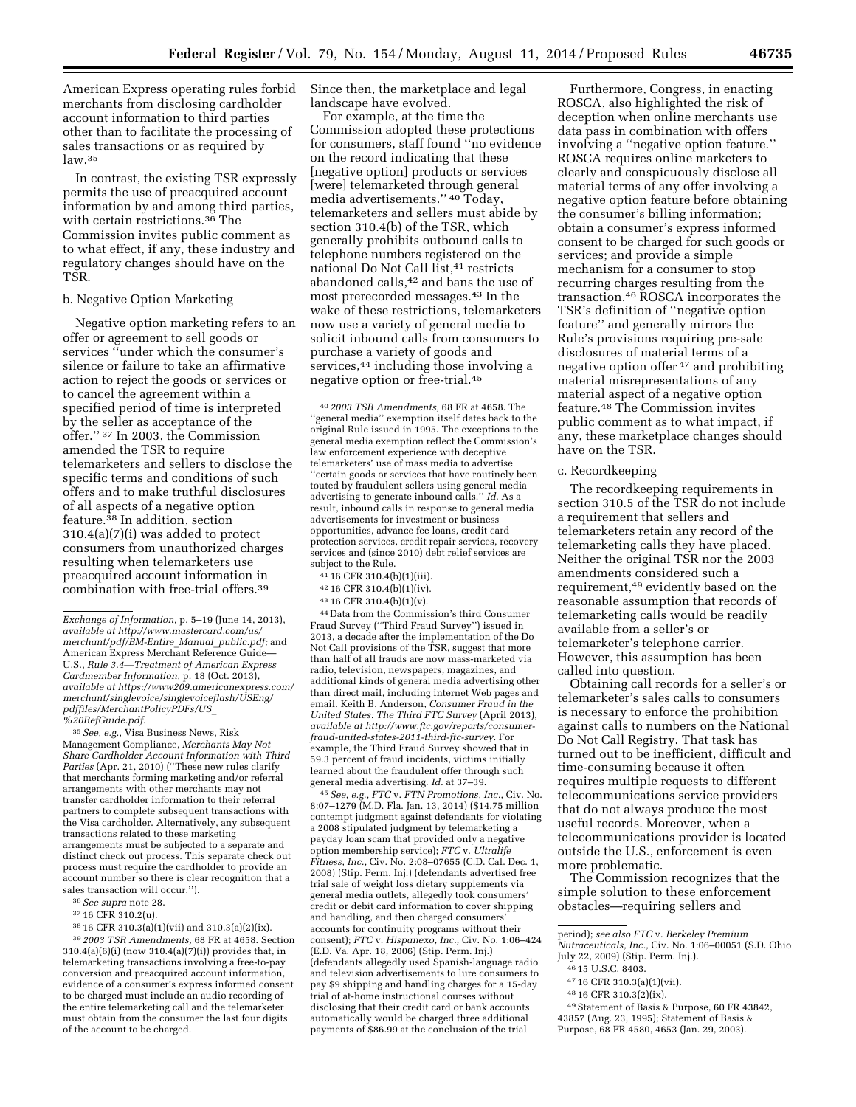American Express operating rules forbid merchants from disclosing cardholder account information to third parties other than to facilitate the processing of sales transactions or as required by law.35

In contrast, the existing TSR expressly permits the use of preacquired account information by and among third parties, with certain restrictions.36 The Commission invites public comment as to what effect, if any, these industry and regulatory changes should have on the TSR.

#### b. Negative Option Marketing

Negative option marketing refers to an offer or agreement to sell goods or services ''under which the consumer's silence or failure to take an affirmative action to reject the goods or services or to cancel the agreement within a specified period of time is interpreted by the seller as acceptance of the offer.'' 37 In 2003, the Commission amended the TSR to require telemarketers and sellers to disclose the specific terms and conditions of such offers and to make truthful disclosures of all aspects of a negative option feature.38 In addition, section 310.4(a)(7)(i) was added to protect consumers from unauthorized charges resulting when telemarketers use preacquired account information in combination with free-trial offers.39

35*See, e.g.,* Visa Business News, Risk Management Compliance, *Merchants May Not Share Cardholder Account Information with Third Parties* (Apr. 21, 2010) (''These new rules clarify that merchants forming marketing and/or referral arrangements with other merchants may not transfer cardholder information to their referral partners to complete subsequent transactions with the Visa cardholder. Alternatively, any subsequent transactions related to these marketing arrangements must be subjected to a separate and distinct check out process. This separate check out process must require the cardholder to provide an account number so there is clear recognition that a sales transaction will occur.'').

- 36*See supra* note 28.
- 37 16 CFR 310.2(u).
- 38 16 CFR 310.3(a)(1)(vii) and 310.3(a)(2)(ix).

39 *2003 TSR Amendments,* 68 FR at 4658. Section 310.4(a)(6)(i) (now 310.4(a)(7)(i)) provides that, in telemarketing transactions involving a free-to-pay conversion and preacquired account information, evidence of a consumer's express informed consent to be charged must include an audio recording of the entire telemarketing call and the telemarketer must obtain from the consumer the last four digits of the account to be charged.

Since then, the marketplace and legal landscape have evolved.

For example, at the time the Commission adopted these protections for consumers, staff found ''no evidence on the record indicating that these [negative option] products or services [were] telemarketed through general media advertisements.'' 40 Today, telemarketers and sellers must abide by section 310.4(b) of the TSR, which generally prohibits outbound calls to telephone numbers registered on the national Do Not Call list,<sup>41</sup> restricts abandoned calls,<sup>42</sup> and bans the use of most prerecorded messages.43 In the wake of these restrictions, telemarketers now use a variety of general media to solicit inbound calls from consumers to purchase a variety of goods and services,<sup>44</sup> including those involving a negative option or free-trial.45

40 *2003 TSR Amendments,* 68 FR at 4658. The ''general media'' exemption itself dates back to the original Rule issued in 1995. The exceptions to the general media exemption reflect the Commission's law enforcement experience with deceptive telemarketers' use of mass media to advertise ''certain goods or services that have routinely been touted by fraudulent sellers using general media advertising to generate inbound calls.'' *Id.* As a result, inbound calls in response to general media advertisements for investment or business opportunities, advance fee loans, credit card protection services, credit repair services, recovery services and (since 2010) debt relief services are subject to the Rule.

- 41 16 CFR 310.4(b)(1)(iii).
- 42 16 CFR 310.4(b)(1)(iv).
- 43 16 CFR 310.4(b)(1)(v).

44 Data from the Commission's third Consumer Fraud Survey (''Third Fraud Survey'') issued in 2013, a decade after the implementation of the Do Not Call provisions of the TSR, suggest that more than half of all frauds are now mass-marketed via radio, television, newspapers, magazines, and additional kinds of general media advertising other than direct mail, including internet Web pages and email. Keith B. Anderson, *Consumer Fraud in the United States: The Third FTC Survey* (April 2013), *available at [http://www.ftc.gov/reports/consumer](http://www.ftc.gov/reports/consumer-fraud-united-states-2011-third-ftc-survey)[fraud-united-states-2011-third-ftc-survey.](http://www.ftc.gov/reports/consumer-fraud-united-states-2011-third-ftc-survey)* For example, the Third Fraud Survey showed that in 59.3 percent of fraud incidents, victims initially learned about the fraudulent offer through such general media advertising. *Id.* at 37–39.

45*See, e.g., FTC* v. *FTN Promotions, Inc.,* Civ. No. 8:07–1279 (M.D. Fla. Jan. 13, 2014) (\$14.75 million contempt judgment against defendants for violating a 2008 stipulated judgment by telemarketing a payday loan scam that provided only a negative option membership service); *FTC* v. *Ultralife Fitness, Inc.,* Civ. No. 2:08–07655 (C.D. Cal. Dec. 1, 2008) (Stip. Perm. Inj.) (defendants advertised free trial sale of weight loss dietary supplements via general media outlets, allegedly took consumers' credit or debit card information to cover shipping and handling, and then charged consumers' accounts for continuity programs without their consent); *FTC* v. *Hispanexo, Inc.,* Civ. No. 1:06–424 (E.D. Va. Apr. 18, 2006) (Stip. Perm. Inj.) (defendants allegedly used Spanish-language radio and television advertisements to lure consumers to pay \$9 shipping and handling charges for a 15-day trial of at-home instructional courses without disclosing that their credit card or bank accounts automatically would be charged three additional payments of \$86.99 at the conclusion of the trial

Furthermore, Congress, in enacting ROSCA, also highlighted the risk of deception when online merchants use data pass in combination with offers involving a ''negative option feature.'' ROSCA requires online marketers to clearly and conspicuously disclose all material terms of any offer involving a negative option feature before obtaining the consumer's billing information; obtain a consumer's express informed consent to be charged for such goods or services; and provide a simple mechanism for a consumer to stop recurring charges resulting from the transaction.46 ROSCA incorporates the TSR's definition of ''negative option feature'' and generally mirrors the Rule's provisions requiring pre-sale disclosures of material terms of a negative option offer 47 and prohibiting material misrepresentations of any material aspect of a negative option feature.48 The Commission invites public comment as to what impact, if any, these marketplace changes should have on the TSR.

#### c. Recordkeeping

The recordkeeping requirements in section 310.5 of the TSR do not include a requirement that sellers and telemarketers retain any record of the telemarketing calls they have placed. Neither the original TSR nor the 2003 amendments considered such a requirement,49 evidently based on the reasonable assumption that records of telemarketing calls would be readily available from a seller's or telemarketer's telephone carrier. However, this assumption has been called into question.

Obtaining call records for a seller's or telemarketer's sales calls to consumers is necessary to enforce the prohibition against calls to numbers on the National Do Not Call Registry. That task has turned out to be inefficient, difficult and time-consuming because it often requires multiple requests to different telecommunications service providers that do not always produce the most useful records. Moreover, when a telecommunications provider is located outside the U.S., enforcement is even more problematic.

The Commission recognizes that the simple solution to these enforcement obstacles—requiring sellers and

- period); *see also FTC* v. *Berkeley Premium Nutraceuticals, Inc.,* Civ. No. 1:06–00051 (S.D. Ohio July 22, 2009) (Stip. Perm. Inj.).
- 
- 46 15 U.S.C. 8403.
- 47 16 CFR 310.3(a)(1)(vii).
- 48 16 CFR 310.3(2)(ix).
- 49Statement of Basis & Purpose, 60 FR 43842, 43857 (Aug. 23, 1995); Statement of Basis & Purpose, 68 FR 4580, 4653 (Jan. 29, 2003).

*Exchange of Information,* p. 5–19 (June 14, 2013), *available at [http://www.mastercard.com/us/](http://www.mastercard.com/us/merchant/pdf/BM-Entire_Manual_public.pdf) [merchant/pdf/BM-Entire](http://www.mastercard.com/us/merchant/pdf/BM-Entire_Manual_public.pdf)*\_*Manual*\_*public.pdf;* and American Express Merchant Reference Guide— U.S., *Rule 3.4—Treatment of American Express Cardmember Information,* p. 18 (Oct. 2013), *available at [https://www209.americanexpress.com/](https://www209.americanexpress.com/merchant/singlevoice/singlevoiceflash/USEng/pdffiles/MerchantPolicyPDFs/US_%20RefGuide.pdf) [merchant/singlevoice/singlevoiceflash/USEng/](https://www209.americanexpress.com/merchant/singlevoice/singlevoiceflash/USEng/pdffiles/MerchantPolicyPDFs/US_%20RefGuide.pdf) [pdffiles/MerchantPolicyPDFs/US](https://www209.americanexpress.com/merchant/singlevoice/singlevoiceflash/USEng/pdffiles/MerchantPolicyPDFs/US_%20RefGuide.pdf)*\_ *[%20RefGuide.pdf.](https://www209.americanexpress.com/merchant/singlevoice/singlevoiceflash/USEng/pdffiles/MerchantPolicyPDFs/US_%20RefGuide.pdf)*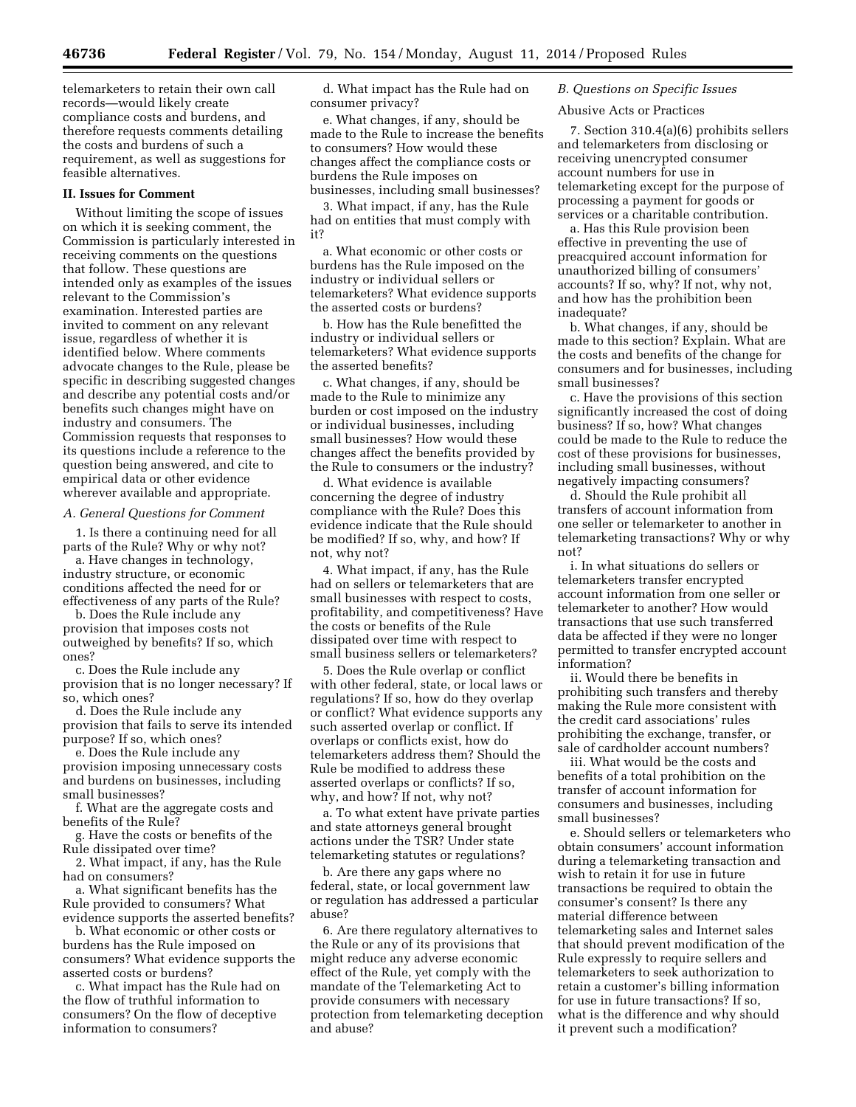telemarketers to retain their own call records—would likely create compliance costs and burdens, and therefore requests comments detailing the costs and burdens of such a requirement, as well as suggestions for feasible alternatives.

#### **II. Issues for Comment**

Without limiting the scope of issues on which it is seeking comment, the Commission is particularly interested in receiving comments on the questions that follow. These questions are intended only as examples of the issues relevant to the Commission's examination. Interested parties are invited to comment on any relevant issue, regardless of whether it is identified below. Where comments advocate changes to the Rule, please be specific in describing suggested changes and describe any potential costs and/or benefits such changes might have on industry and consumers. The Commission requests that responses to its questions include a reference to the question being answered, and cite to empirical data or other evidence wherever available and appropriate.

#### *A. General Questions for Comment*

1. Is there a continuing need for all parts of the Rule? Why or why not?

a. Have changes in technology, industry structure, or economic conditions affected the need for or effectiveness of any parts of the Rule?

b. Does the Rule include any provision that imposes costs not outweighed by benefits? If so, which ones?

c. Does the Rule include any provision that is no longer necessary? If so, which ones?

d. Does the Rule include any provision that fails to serve its intended purpose? If so, which ones?

e. Does the Rule include any provision imposing unnecessary costs and burdens on businesses, including small businesses?

f. What are the aggregate costs and benefits of the Rule?

g. Have the costs or benefits of the Rule dissipated over time?

2. What impact, if any, has the Rule had on consumers?

a. What significant benefits has the Rule provided to consumers? What evidence supports the asserted benefits?

b. What economic or other costs or burdens has the Rule imposed on consumers? What evidence supports the asserted costs or burdens?

c. What impact has the Rule had on the flow of truthful information to consumers? On the flow of deceptive information to consumers?

d. What impact has the Rule had on consumer privacy?

e. What changes, if any, should be made to the Rule to increase the benefits to consumers? How would these changes affect the compliance costs or burdens the Rule imposes on businesses, including small businesses?

3. What impact, if any, has the Rule had on entities that must comply with it?

a. What economic or other costs or burdens has the Rule imposed on the industry or individual sellers or telemarketers? What evidence supports the asserted costs or burdens?

b. How has the Rule benefitted the industry or individual sellers or telemarketers? What evidence supports the asserted benefits?

c. What changes, if any, should be made to the Rule to minimize any burden or cost imposed on the industry or individual businesses, including small businesses? How would these changes affect the benefits provided by the Rule to consumers or the industry?

d. What evidence is available concerning the degree of industry compliance with the Rule? Does this evidence indicate that the Rule should be modified? If so, why, and how? If not, why not?

4. What impact, if any, has the Rule had on sellers or telemarketers that are small businesses with respect to costs, profitability, and competitiveness? Have the costs or benefits of the Rule dissipated over time with respect to small business sellers or telemarketers?

5. Does the Rule overlap or conflict with other federal, state, or local laws or regulations? If so, how do they overlap or conflict? What evidence supports any such asserted overlap or conflict. If overlaps or conflicts exist, how do telemarketers address them? Should the Rule be modified to address these asserted overlaps or conflicts? If so, why, and how? If not, why not?

a. To what extent have private parties and state attorneys general brought actions under the TSR? Under state telemarketing statutes or regulations?

b. Are there any gaps where no federal, state, or local government law or regulation has addressed a particular abuse?

6. Are there regulatory alternatives to the Rule or any of its provisions that might reduce any adverse economic effect of the Rule, yet comply with the mandate of the Telemarketing Act to provide consumers with necessary protection from telemarketing deception and abuse?

# *B. Questions on Specific Issues*

# Abusive Acts or Practices

7. Section 310.4(a)(6) prohibits sellers and telemarketers from disclosing or receiving unencrypted consumer account numbers for use in telemarketing except for the purpose of processing a payment for goods or services or a charitable contribution.

a. Has this Rule provision been effective in preventing the use of preacquired account information for unauthorized billing of consumers' accounts? If so, why? If not, why not, and how has the prohibition been inadequate?

b. What changes, if any, should be made to this section? Explain. What are the costs and benefits of the change for consumers and for businesses, including small businesses?

c. Have the provisions of this section significantly increased the cost of doing business? If so, how? What changes could be made to the Rule to reduce the cost of these provisions for businesses, including small businesses, without negatively impacting consumers?

d. Should the Rule prohibit all transfers of account information from one seller or telemarketer to another in telemarketing transactions? Why or why not?

i. In what situations do sellers or telemarketers transfer encrypted account information from one seller or telemarketer to another? How would transactions that use such transferred data be affected if they were no longer permitted to transfer encrypted account information?

ii. Would there be benefits in prohibiting such transfers and thereby making the Rule more consistent with the credit card associations' rules prohibiting the exchange, transfer, or sale of cardholder account numbers?

iii. What would be the costs and benefits of a total prohibition on the transfer of account information for consumers and businesses, including small businesses?

e. Should sellers or telemarketers who obtain consumers' account information during a telemarketing transaction and wish to retain it for use in future transactions be required to obtain the consumer's consent? Is there any material difference between telemarketing sales and Internet sales that should prevent modification of the Rule expressly to require sellers and telemarketers to seek authorization to retain a customer's billing information for use in future transactions? If so, what is the difference and why should it prevent such a modification?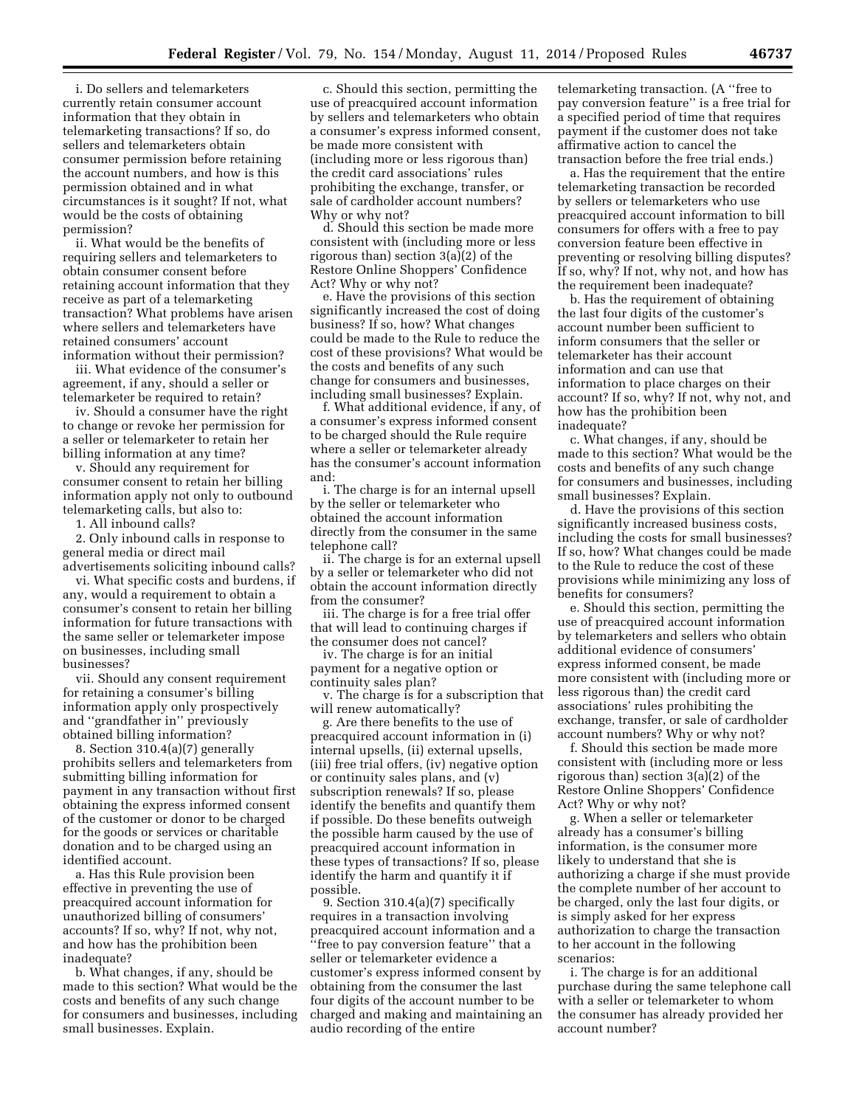i. Do sellers and telemarketers currently retain consumer account information that they obtain in telemarketing transactions? If so, do sellers and telemarketers obtain consumer permission before retaining the account numbers, and how is this permission obtained and in what circumstances is it sought? If not, what would be the costs of obtaining permission?

ii. What would be the benefits of requiring sellers and telemarketers to obtain consumer consent before retaining account information that they receive as part of a telemarketing transaction? What problems have arisen where sellers and telemarketers have retained consumers' account information without their permission?

iii. What evidence of the consumer's agreement, if any, should a seller or telemarketer be required to retain?

iv. Should a consumer have the right to change or revoke her permission for a seller or telemarketer to retain her billing information at any time?

v. Should any requirement for consumer consent to retain her billing information apply not only to outbound telemarketing calls, but also to:

1. All inbound calls?

2. Only inbound calls in response to general media or direct mail advertisements soliciting inbound calls?

vi. What specific costs and burdens, if any, would a requirement to obtain a consumer's consent to retain her billing information for future transactions with the same seller or telemarketer impose on businesses, including small businesses?

vii. Should any consent requirement for retaining a consumer's billing information apply only prospectively and ''grandfather in'' previously obtained billing information?

8. Section 310.4(a)(7) generally prohibits sellers and telemarketers from submitting billing information for payment in any transaction without first obtaining the express informed consent of the customer or donor to be charged for the goods or services or charitable donation and to be charged using an identified account.

a. Has this Rule provision been effective in preventing the use of preacquired account information for unauthorized billing of consumers' accounts? If so, why? If not, why not, and how has the prohibition been inadequate?

b. What changes, if any, should be made to this section? What would be the costs and benefits of any such change for consumers and businesses, including small businesses. Explain.

c. Should this section, permitting the use of preacquired account information by sellers and telemarketers who obtain a consumer's express informed consent, be made more consistent with (including more or less rigorous than) the credit card associations' rules prohibiting the exchange, transfer, or sale of cardholder account numbers? Why or why not?

d. Should this section be made more consistent with (including more or less rigorous than) section 3(a)(2) of the Restore Online Shoppers' Confidence Act? Why or why not?

e. Have the provisions of this section significantly increased the cost of doing business? If so, how? What changes could be made to the Rule to reduce the cost of these provisions? What would be the costs and benefits of any such change for consumers and businesses, including small businesses? Explain.

f. What additional evidence, if any, of a consumer's express informed consent to be charged should the Rule require where a seller or telemarketer already has the consumer's account information and:

i. The charge is for an internal upsell by the seller or telemarketer who obtained the account information directly from the consumer in the same telephone call?

ii. The charge is for an external upsell by a seller or telemarketer who did not obtain the account information directly from the consumer?

iii. The charge is for a free trial offer that will lead to continuing charges if the consumer does not cancel?

iv. The charge is for an initial payment for a negative option or continuity sales plan?

v. The charge is for a subscription that will renew automatically?

g. Are there benefits to the use of preacquired account information in (i) internal upsells, (ii) external upsells, (iii) free trial offers, (iv) negative option or continuity sales plans, and (v) subscription renewals? If so, please identify the benefits and quantify them if possible. Do these benefits outweigh the possible harm caused by the use of preacquired account information in these types of transactions? If so, please identify the harm and quantify it if possible.

9. Section 310.4(a)(7) specifically requires in a transaction involving preacquired account information and a 'free to pay conversion feature'' that a seller or telemarketer evidence a customer's express informed consent by obtaining from the consumer the last four digits of the account number to be charged and making and maintaining an audio recording of the entire

telemarketing transaction. (A ''free to pay conversion feature'' is a free trial for a specified period of time that requires payment if the customer does not take affirmative action to cancel the transaction before the free trial ends.)

a. Has the requirement that the entire telemarketing transaction be recorded by sellers or telemarketers who use preacquired account information to bill consumers for offers with a free to pay conversion feature been effective in preventing or resolving billing disputes? If so, why? If not, why not, and how has the requirement been inadequate?

b. Has the requirement of obtaining the last four digits of the customer's account number been sufficient to inform consumers that the seller or telemarketer has their account information and can use that information to place charges on their account? If so, why? If not, why not, and how has the prohibition been inadequate?

c. What changes, if any, should be made to this section? What would be the costs and benefits of any such change for consumers and businesses, including small businesses? Explain.

d. Have the provisions of this section significantly increased business costs, including the costs for small businesses? If so, how? What changes could be made to the Rule to reduce the cost of these provisions while minimizing any loss of benefits for consumers?

e. Should this section, permitting the use of preacquired account information by telemarketers and sellers who obtain additional evidence of consumers' express informed consent, be made more consistent with (including more or less rigorous than) the credit card associations' rules prohibiting the exchange, transfer, or sale of cardholder account numbers? Why or why not?

f. Should this section be made more consistent with (including more or less rigorous than) section 3(a)(2) of the Restore Online Shoppers' Confidence Act? Why or why not?

g. When a seller or telemarketer already has a consumer's billing information, is the consumer more likely to understand that she is authorizing a charge if she must provide the complete number of her account to be charged, only the last four digits, or is simply asked for her express authorization to charge the transaction to her account in the following scenarios:

i. The charge is for an additional purchase during the same telephone call with a seller or telemarketer to whom the consumer has already provided her account number?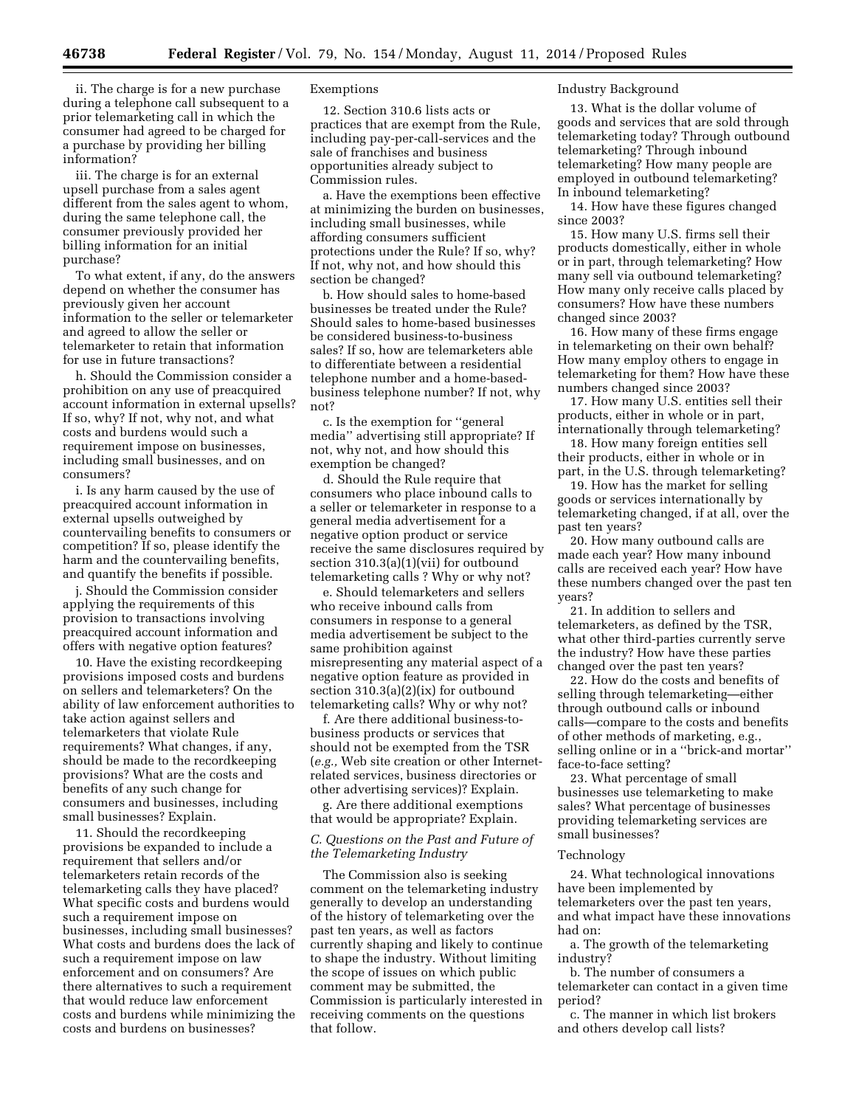ii. The charge is for a new purchase during a telephone call subsequent to a prior telemarketing call in which the consumer had agreed to be charged for a purchase by providing her billing information?

iii. The charge is for an external upsell purchase from a sales agent different from the sales agent to whom, during the same telephone call, the consumer previously provided her billing information for an initial purchase?

To what extent, if any, do the answers depend on whether the consumer has previously given her account information to the seller or telemarketer and agreed to allow the seller or telemarketer to retain that information for use in future transactions?

h. Should the Commission consider a prohibition on any use of preacquired account information in external upsells? If so, why? If not, why not, and what costs and burdens would such a requirement impose on businesses, including small businesses, and on consumers?

i. Is any harm caused by the use of preacquired account information in external upsells outweighed by countervailing benefits to consumers or competition? If so, please identify the harm and the countervailing benefits, and quantify the benefits if possible.

j. Should the Commission consider applying the requirements of this provision to transactions involving preacquired account information and offers with negative option features?

10. Have the existing recordkeeping provisions imposed costs and burdens on sellers and telemarketers? On the ability of law enforcement authorities to take action against sellers and telemarketers that violate Rule requirements? What changes, if any, should be made to the recordkeeping provisions? What are the costs and benefits of any such change for consumers and businesses, including small businesses? Explain.

11. Should the recordkeeping provisions be expanded to include a requirement that sellers and/or telemarketers retain records of the telemarketing calls they have placed? What specific costs and burdens would such a requirement impose on businesses, including small businesses? What costs and burdens does the lack of such a requirement impose on law enforcement and on consumers? Are there alternatives to such a requirement that would reduce law enforcement costs and burdens while minimizing the costs and burdens on businesses?

# Exemptions

12. Section 310.6 lists acts or practices that are exempt from the Rule, including pay-per-call-services and the sale of franchises and business opportunities already subject to Commission rules.

a. Have the exemptions been effective at minimizing the burden on businesses, including small businesses, while affording consumers sufficient protections under the Rule? If so, why? If not, why not, and how should this section be changed?

b. How should sales to home-based businesses be treated under the Rule? Should sales to home-based businesses be considered business-to-business sales? If so, how are telemarketers able to differentiate between a residential telephone number and a home-basedbusiness telephone number? If not, why not?

c. Is the exemption for ''general media'' advertising still appropriate? If not, why not, and how should this exemption be changed?

d. Should the Rule require that consumers who place inbound calls to a seller or telemarketer in response to a general media advertisement for a negative option product or service receive the same disclosures required by section 310.3(a)(1)(vii) for outbound telemarketing calls ? Why or why not?

e. Should telemarketers and sellers who receive inbound calls from consumers in response to a general media advertisement be subject to the same prohibition against misrepresenting any material aspect of a negative option feature as provided in section 310.3(a)(2)(ix) for outbound telemarketing calls? Why or why not?

f. Are there additional business-tobusiness products or services that should not be exempted from the TSR (*e.g.,* Web site creation or other Internetrelated services, business directories or other advertising services)? Explain.

g. Are there additional exemptions that would be appropriate? Explain.

# *C. Questions on the Past and Future of the Telemarketing Industry*

The Commission also is seeking comment on the telemarketing industry generally to develop an understanding of the history of telemarketing over the past ten years, as well as factors currently shaping and likely to continue to shape the industry. Without limiting the scope of issues on which public comment may be submitted, the Commission is particularly interested in receiving comments on the questions that follow.

#### Industry Background

13. What is the dollar volume of goods and services that are sold through telemarketing today? Through outbound telemarketing? Through inbound telemarketing? How many people are employed in outbound telemarketing? In inbound telemarketing?

14. How have these figures changed since 2003?

15. How many U.S. firms sell their products domestically, either in whole or in part, through telemarketing? How many sell via outbound telemarketing? How many only receive calls placed by consumers? How have these numbers changed since 2003?

16. How many of these firms engage in telemarketing on their own behalf? How many employ others to engage in telemarketing for them? How have these numbers changed since 2003?

17. How many U.S. entities sell their products, either in whole or in part, internationally through telemarketing?

18. How many foreign entities sell their products, either in whole or in part, in the U.S. through telemarketing?

19. How has the market for selling goods or services internationally by telemarketing changed, if at all, over the past ten years?

20. How many outbound calls are made each year? How many inbound calls are received each year? How have these numbers changed over the past ten years?

21. In addition to sellers and telemarketers, as defined by the TSR, what other third-parties currently serve the industry? How have these parties changed over the past ten years?

22. How do the costs and benefits of selling through telemarketing—either through outbound calls or inbound calls—compare to the costs and benefits of other methods of marketing, e.g., selling online or in a ''brick-and mortar'' face-to-face setting?

23. What percentage of small businesses use telemarketing to make sales? What percentage of businesses providing telemarketing services are small businesses?

# Technology

24. What technological innovations have been implemented by telemarketers over the past ten years, and what impact have these innovations had on:

a. The growth of the telemarketing industry?

b. The number of consumers a telemarketer can contact in a given time period?

c. The manner in which list brokers and others develop call lists?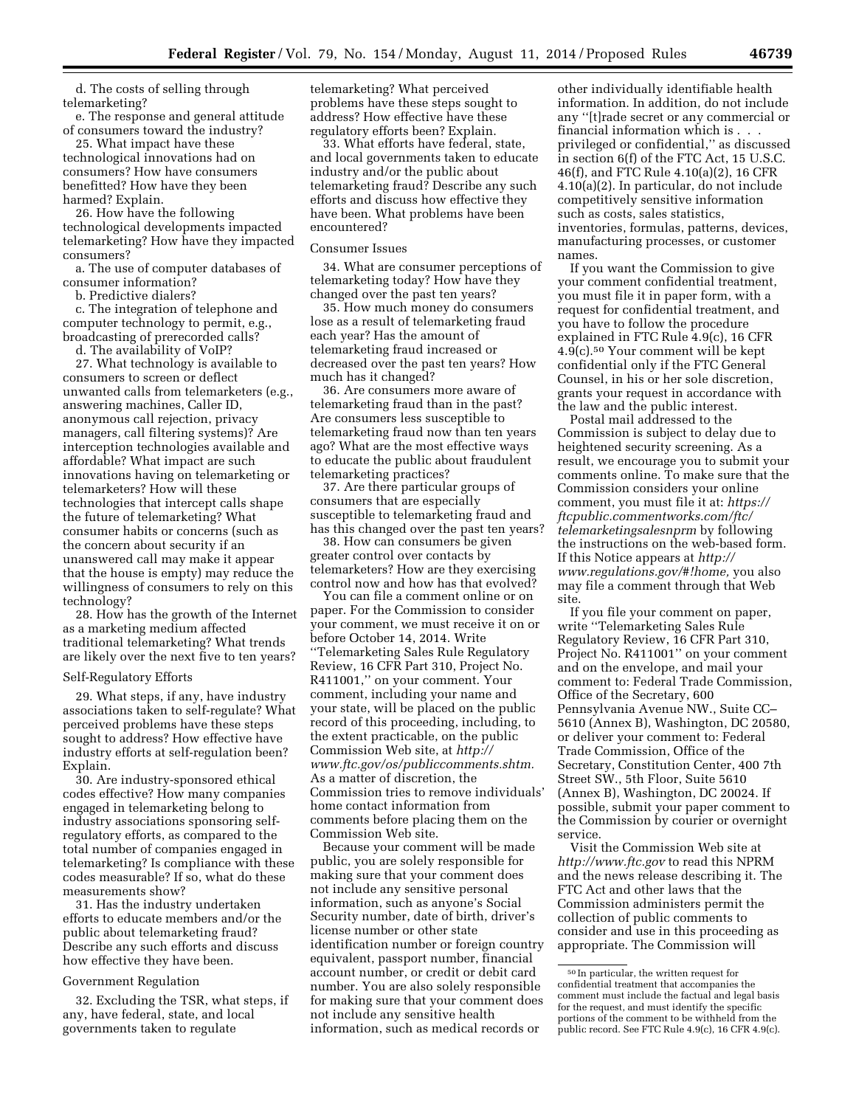d. The costs of selling through telemarketing?

e. The response and general attitude of consumers toward the industry?

25. What impact have these technological innovations had on consumers? How have consumers benefitted? How have they been harmed? Explain.

26. How have the following technological developments impacted telemarketing? How have they impacted consumers?

a. The use of computer databases of consumer information?

b. Predictive dialers?

c. The integration of telephone and computer technology to permit, e.g., broadcasting of prerecorded calls?

d. The availability of VoIP?

27. What technology is available to consumers to screen or deflect unwanted calls from telemarketers (e.g., answering machines, Caller ID, anonymous call rejection, privacy managers, call filtering systems)? Are interception technologies available and affordable? What impact are such innovations having on telemarketing or telemarketers? How will these technologies that intercept calls shape the future of telemarketing? What consumer habits or concerns (such as the concern about security if an unanswered call may make it appear that the house is empty) may reduce the willingness of consumers to rely on this technology?

28. How has the growth of the Internet as a marketing medium affected traditional telemarketing? What trends are likely over the next five to ten years?

#### Self-Regulatory Efforts

29. What steps, if any, have industry associations taken to self-regulate? What perceived problems have these steps sought to address? How effective have industry efforts at self-regulation been? Explain.

30. Are industry-sponsored ethical codes effective? How many companies engaged in telemarketing belong to industry associations sponsoring selfregulatory efforts, as compared to the total number of companies engaged in telemarketing? Is compliance with these codes measurable? If so, what do these measurements show?

31. Has the industry undertaken efforts to educate members and/or the public about telemarketing fraud? Describe any such efforts and discuss how effective they have been.

#### Government Regulation

32. Excluding the TSR, what steps, if any, have federal, state, and local governments taken to regulate

telemarketing? What perceived problems have these steps sought to address? How effective have these regulatory efforts been? Explain.

33. What efforts have federal, state, and local governments taken to educate industry and/or the public about telemarketing fraud? Describe any such efforts and discuss how effective they have been. What problems have been encountered?

#### Consumer Issues

34. What are consumer perceptions of telemarketing today? How have they changed over the past ten years?

35. How much money do consumers lose as a result of telemarketing fraud each year? Has the amount of telemarketing fraud increased or decreased over the past ten years? How much has it changed?

36. Are consumers more aware of telemarketing fraud than in the past? Are consumers less susceptible to telemarketing fraud now than ten years ago? What are the most effective ways to educate the public about fraudulent telemarketing practices?

37. Are there particular groups of consumers that are especially susceptible to telemarketing fraud and has this changed over the past ten years?

38. How can consumers be given greater control over contacts by telemarketers? How are they exercising control now and how has that evolved?

You can file a comment online or on paper. For the Commission to consider your comment, we must receive it on or before October 14, 2014. Write ''Telemarketing Sales Rule Regulatory Review, 16 CFR Part 310, Project No. R411001,'' on your comment. Your comment, including your name and your state, will be placed on the public record of this proceeding, including, to the extent practicable, on the public Commission Web site, at *[http://](http://www.ftc.gov/os/publiccomments.shtm) [www.ftc.gov/os/publiccomments.shtm.](http://www.ftc.gov/os/publiccomments.shtm)*  As a matter of discretion, the Commission tries to remove individuals' home contact information from comments before placing them on the Commission Web site.

Because your comment will be made public, you are solely responsible for making sure that your comment does not include any sensitive personal information, such as anyone's Social Security number, date of birth, driver's license number or other state identification number or foreign country equivalent, passport number, financial account number, or credit or debit card number. You are also solely responsible for making sure that your comment does not include any sensitive health information, such as medical records or

other individually identifiable health information. In addition, do not include any ''[t]rade secret or any commercial or financial information which is . . . privileged or confidential,'' as discussed in section 6(f) of the FTC Act, 15 U.S.C. 46(f), and FTC Rule 4.10(a)(2), 16 CFR 4.10(a)(2). In particular, do not include competitively sensitive information such as costs, sales statistics, inventories, formulas, patterns, devices, manufacturing processes, or customer names.

If you want the Commission to give your comment confidential treatment, you must file it in paper form, with a request for confidential treatment, and you have to follow the procedure explained in FTC Rule 4.9(c), 16 CFR  $4.9(c)$ .<sup>50</sup> Your comment will be kept confidential only if the FTC General Counsel, in his or her sole discretion, grants your request in accordance with the law and the public interest.

Postal mail addressed to the Commission is subject to delay due to heightened security screening. As a result, we encourage you to submit your comments online. To make sure that the Commission considers your online comment, you must file it at: *[https://](https://ftcpublic.commentworks.com/ftc/telemarketingsalesnprm) [ftcpublic.commentworks.com/ftc/](https://ftcpublic.commentworks.com/ftc/telemarketingsalesnprm) [telemarketingsalesnprm](https://ftcpublic.commentworks.com/ftc/telemarketingsalesnprm)* by following the instructions on the web-based form. If this Notice appears at *[http://](http://www.regulations.gov/#!home) [www.regulations.gov/#!home,](http://www.regulations.gov/#!home)* you also may file a comment through that Web site.

If you file your comment on paper, write ''Telemarketing Sales Rule Regulatory Review, 16 CFR Part 310, Project No. R411001'' on your comment and on the envelope, and mail your comment to: Federal Trade Commission, Office of the Secretary, 600 Pennsylvania Avenue NW., Suite CC– 5610 (Annex B), Washington, DC 20580, or deliver your comment to: Federal Trade Commission, Office of the Secretary, Constitution Center, 400 7th Street SW., 5th Floor, Suite 5610 (Annex B), Washington, DC 20024. If possible, submit your paper comment to the Commission by courier or overnight service.

Visit the Commission Web site at *<http://www.ftc.gov>*to read this NPRM and the news release describing it. The FTC Act and other laws that the Commission administers permit the collection of public comments to consider and use in this proceeding as appropriate. The Commission will

<sup>50</sup> In particular, the written request for confidential treatment that accompanies the comment must include the factual and legal basis for the request, and must identify the specific portions of the comment to be withheld from the public record. See FTC Rule 4.9(c), 16 CFR 4.9(c).